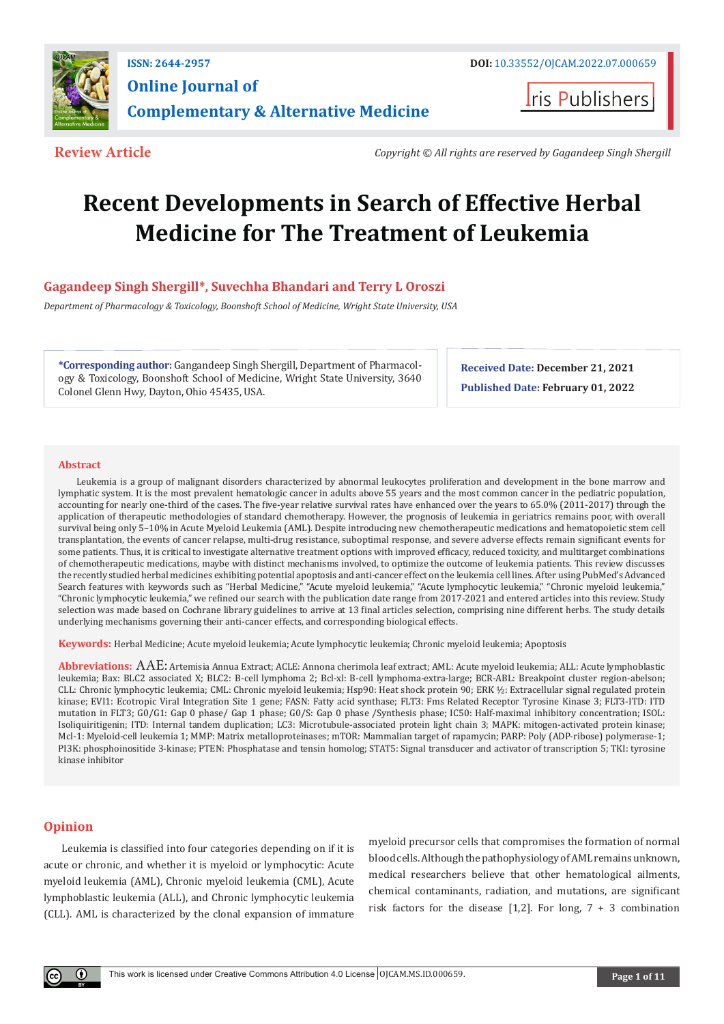

**Iris Publishers** 

**Review Article** *Copyright © All rights are reserved by Gagandeep Singh Shergill* 

# **Recent Developments in Search of Effective Herbal Medicine for The Treatment of Leukemia**

# **Gagandeep Singh Shergill\*, Suvechha Bhandari and Terry L Oroszi**

*Department of Pharmacology & Toxicology, Boonshoft School of Medicine, Wright State University, USA*

**\*Corresponding author:** Gangandeep Singh Shergill, Department of Pharmacology & Toxicology, Boonshoft School of Medicine, Wright State University, 3640 Colonel Glenn Hwy, Dayton, Ohio 45435, USA.

**Received Date: December 21, 2021 Published Date: February 01, 2022**

#### **Abstract**

Leukemia is a group of malignant disorders characterized by abnormal leukocytes proliferation and development in the bone marrow and lymphatic system. It is the most prevalent hematologic cancer in adults above 55 years and the most common cancer in the pediatric population, accounting for nearly one-third of the cases. The five-year relative survival rates have enhanced over the years to 65.0% (2011-2017) through the application of therapeutic methodologies of standard chemotherapy. However, the prognosis of leukemia in geriatrics remains poor, with overall survival being only 5–10% in Acute Myeloid Leukemia (AML). Despite introducing new chemotherapeutic medications and hematopoietic stem cell transplantation, the events of cancer relapse, multi-drug resistance, suboptimal response, and severe adverse effects remain significant events for some patients. Thus, it is critical to investigate alternative treatment options with improved efficacy, reduced toxicity, and multitarget combinations of chemotherapeutic medications, maybe with distinct mechanisms involved, to optimize the outcome of leukemia patients. This review discusses the recently studied herbal medicines exhibiting potential apoptosis and anti-cancer effect on the leukemia cell lines. After using PubMed's Advanced Search features with keywords such as "Herbal Medicine," "Acute myeloid leukemia," "Acute lymphocytic leukemia," "Chronic myeloid leukemia," "Chronic lymphocytic leukemia," we refined our search with the publication date range from 2017-2021 and entered articles into this review. Study selection was made based on Cochrane library guidelines to arrive at 13 final articles selection, comprising nine different herbs. The study details underlying mechanisms governing their anti-cancer effects, and corresponding biological effects.

**Keywords:** Herbal Medicine; Acute myeloid leukemia; Acute lymphocytic leukemia; Chronic myeloid leukemia; Apoptosis

**Abbreviations:** AAE: Artemisia Annua Extract; ACLE: Annona cherimola leaf extract; AML: Acute myeloid leukemia; ALL: Acute lymphoblastic leukemia; Bax: BLC2 associated X; BLC2: B-cell lymphoma 2; Bcl-xl: B-cell lymphoma-extra-large; BCR-ABL: Breakpoint cluster region-abelson; CLL: Chronic lymphocytic leukemia; CML: Chronic myeloid leukemia; Hsp90: Heat shock protein 90; ERK ½: Extracellular signal regulated protein kinase; EVI1: Ecotropic Viral Integration Site 1 gene; FASN: Fatty acid synthase; FLT3: Fms Related Receptor Tyrosine Kinase 3; FLT3-ITD: ITD mutation in FLT3; G0/G1: Gap 0 phase/ Gap 1 phase; G0/S: Gap 0 phase /Synthesis phase; IC50: Half-maximal inhibitory concentration; ISOL: Isoliquiritigenin; ITD: Internal tandem duplication; LC3: Microtubule-associated protein light chain 3; MAPK: mitogen-activated protein kinase; Mcl-1: Myeloid-cell leukemia 1; MMP: Matrix metalloproteinases; mTOR: Mammalian target of rapamycin; PARP: Poly (ADP-ribose) polymerase-1; PI3K: phosphoinositide 3-kinase; PTEN: Phosphatase and tensin homolog; STAT5: Signal transducer and activator of transcription 5; TKI: tyrosine kinase inhibitor

### **Opinion**

Leukemia is classified into four categories depending on if it is acute or chronic, and whether it is myeloid or lymphocytic: Acute myeloid leukemia (AML), Chronic myeloid leukemia (CML), Acute lymphoblastic leukemia (ALL), and Chronic lymphocytic leukemia (CLL). AML is characterized by the clonal expansion of immature

myeloid precursor cells that compromises the formation of normal blood cells. Although the pathophysiology of AML remains unknown, medical researchers believe that other hematological ailments, chemical contaminants, radiation, and mutations, are significant risk factors for the disease  $[1,2]$ . For long,  $7 + 3$  combination

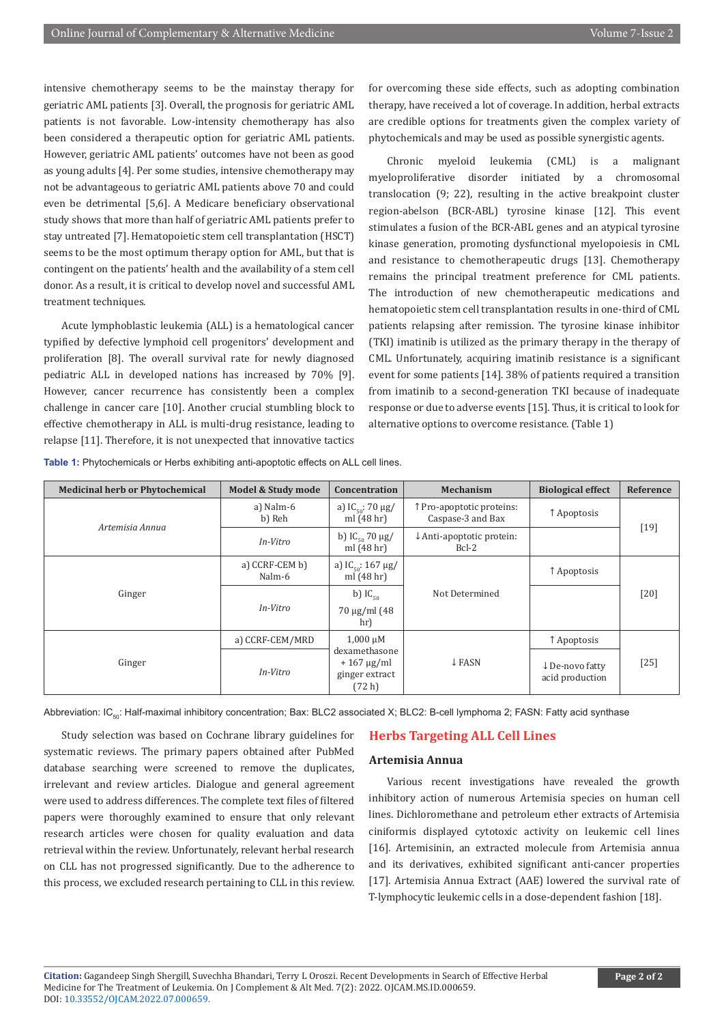intensive chemotherapy seems to be the mainstay therapy for geriatric AML patients [3]. Overall, the prognosis for geriatric AML patients is not favorable. Low-intensity chemotherapy has also been considered a therapeutic option for geriatric AML patients. However, geriatric AML patients' outcomes have not been as good as young adults [4]. Per some studies, intensive chemotherapy may not be advantageous to geriatric AML patients above 70 and could even be detrimental [5,6]. A Medicare beneficiary observational study shows that more than half of geriatric AML patients prefer to stay untreated [7]. Hematopoietic stem cell transplantation (HSCT) seems to be the most optimum therapy option for AML, but that is contingent on the patients' health and the availability of a stem cell donor. As a result, it is critical to develop novel and successful AML treatment techniques.

Acute lymphoblastic leukemia (ALL) is a hematological cancer typified by defective lymphoid cell progenitors' development and proliferation [8]. The overall survival rate for newly diagnosed pediatric ALL in developed nations has increased by 70% [9]. However, cancer recurrence has consistently been a complex challenge in cancer care [10]. Another crucial stumbling block to effective chemotherapy in ALL is multi-drug resistance, leading to relapse [11]. Therefore, it is not unexpected that innovative tactics

for overcoming these side effects, such as adopting combination therapy, have received a lot of coverage. In addition, herbal extracts are credible options for treatments given the complex variety of phytochemicals and may be used as possible synergistic agents.

Chronic myeloid leukemia (CML) is a malignant myeloproliferative disorder initiated by a chromosomal translocation (9; 22), resulting in the active breakpoint cluster region-abelson (BCR-ABL) tyrosine kinase [12]. This event stimulates a fusion of the BCR-ABL genes and an atypical tyrosine kinase generation, promoting dysfunctional myelopoiesis in CML and resistance to chemotherapeutic drugs [13]. Chemotherapy remains the principal treatment preference for CML patients. The introduction of new chemotherapeutic medications and hematopoietic stem cell transplantation results in one-third of CML patients relapsing after remission. The tyrosine kinase inhibitor (TKI) imatinib is utilized as the primary therapy in the therapy of CML. Unfortunately, acquiring imatinib resistance is a significant event for some patients [14]. 38% of patients required a transition from imatinib to a second-generation TKI because of inadequate response or due to adverse events [15]. Thus, it is critical to look for alternative options to overcome resistance. (Table 1)

| <b>Medicinal herb or Phytochemical</b> | Model & Study mode       | <b>Concentration</b>                                                     | Mechanism                                       | <b>Biological effect</b>          | Reference |  |
|----------------------------------------|--------------------------|--------------------------------------------------------------------------|-------------------------------------------------|-----------------------------------|-----------|--|
| Artemisia Annua                        | a) Nalm-6<br>b) Reh      | a) $IC_{50}$ : 70 µg/<br>ml $(48h)$                                      | ↑ Pro-apoptotic proteins:<br>Caspase-3 and Bax  | ↑ Apoptosis                       | $[19]$    |  |
|                                        | In-Vitro                 | b) $IC_{50}$ 70 $\mu$ g/<br>ml $(48h)$                                   | $\downarrow$ Anti-apoptotic protein:<br>$Bcl-2$ |                                   |           |  |
| Ginger                                 | a) CCRF-CEM b)<br>Nalm-6 | a) $IC_{\text{eq}}$ : 167 µg/<br>ml $(48hr)$                             |                                                 | ↑ Apoptosis                       |           |  |
|                                        | In-Vitro                 | b) $IC_{50}$<br>$70 \mu g/ml$ (48)<br>hr)                                | Not Determined                                  |                                   | $[20]$    |  |
| Ginger                                 | a) CCRF-CEM/MRD          | $1,000 \mu M$                                                            | $\downarrow$ FASN                               | ↑ Apoptosis                       | $[25]$    |  |
|                                        | In-Vitro                 | dexamethasone<br>$+167 \mu g/ml$<br>ginger extract<br>(72 <sub>h</sub> ) |                                                 | ↓De-novo fatty<br>acid production |           |  |

**Table 1:** Phytochemicals or Herbs exhibiting anti-apoptotic effects on ALL cell lines.

Abbreviation: IC<sub>50</sub>: Half-maximal inhibitory concentration; Bax: BLC2 associated X; BLC2: B-cell lymphoma 2; FASN: Fatty acid synthase

Study selection was based on Cochrane library guidelines for systematic reviews. The primary papers obtained after PubMed database searching were screened to remove the duplicates, irrelevant and review articles. Dialogue and general agreement were used to address differences. The complete text files of filtered papers were thoroughly examined to ensure that only relevant research articles were chosen for quality evaluation and data retrieval within the review. Unfortunately, relevant herbal research on CLL has not progressed significantly. Due to the adherence to this process, we excluded research pertaining to CLL in this review.

#### **Herbs Targeting ALL Cell Lines**

#### **Artemisia Annua**

Various recent investigations have revealed the growth inhibitory action of numerous Artemisia species on human cell lines. Dichloromethane and petroleum ether extracts of Artemisia ciniformis displayed cytotoxic activity on leukemic cell lines [16]. Artemisinin, an extracted molecule from Artemisia annua and its derivatives, exhibited significant anti-cancer properties [17]. Artemisia Annua Extract (AAE) lowered the survival rate of T-lymphocytic leukemic cells in a dose-dependent fashion [18].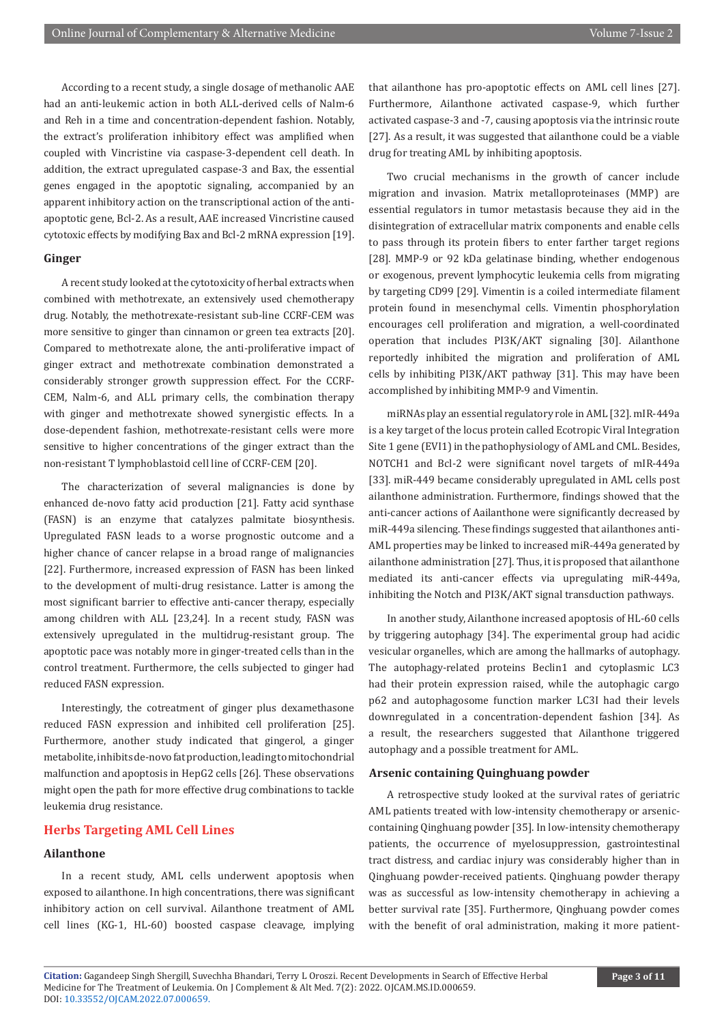According to a recent study, a single dosage of methanolic AAE had an anti-leukemic action in both ALL-derived cells of Nalm-6 and Reh in a time and concentration-dependent fashion. Notably, the extract's proliferation inhibitory effect was amplified when coupled with Vincristine via caspase-3-dependent cell death. In addition, the extract upregulated caspase-3 and Bax, the essential genes engaged in the apoptotic signaling, accompanied by an apparent inhibitory action on the transcriptional action of the antiapoptotic gene, Bcl-2. As a result, AAE increased Vincristine caused cytotoxic effects by modifying Bax and Bcl-2 mRNA expression [19].

#### **Ginger**

A recent study looked at the cytotoxicity of herbal extracts when combined with methotrexate, an extensively used chemotherapy drug. Notably, the methotrexate-resistant sub-line CCRF-CEM was more sensitive to ginger than cinnamon or green tea extracts [20]. Compared to methotrexate alone, the anti-proliferative impact of ginger extract and methotrexate combination demonstrated a considerably stronger growth suppression effect. For the CCRF-CEM, Nalm-6, and ALL primary cells, the combination therapy with ginger and methotrexate showed synergistic effects. In a dose-dependent fashion, methotrexate-resistant cells were more sensitive to higher concentrations of the ginger extract than the non-resistant T lymphoblastoid cell line of CCRF-CEM [20].

The characterization of several malignancies is done by enhanced de-novo fatty acid production [21]. Fatty acid synthase (FASN) is an enzyme that catalyzes palmitate biosynthesis. Upregulated FASN leads to a worse prognostic outcome and a higher chance of cancer relapse in a broad range of malignancies [22]. Furthermore, increased expression of FASN has been linked to the development of multi-drug resistance. Latter is among the most significant barrier to effective anti-cancer therapy, especially among children with ALL [23,24]. In a recent study, FASN was extensively upregulated in the multidrug-resistant group. The apoptotic pace was notably more in ginger-treated cells than in the control treatment. Furthermore, the cells subjected to ginger had reduced FASN expression.

Interestingly, the cotreatment of ginger plus dexamethasone reduced FASN expression and inhibited cell proliferation [25]. Furthermore, another study indicated that gingerol, a ginger metabolite, inhibits de-novo fat production, leading to mitochondrial malfunction and apoptosis in HepG2 cells [26]. These observations might open the path for more effective drug combinations to tackle leukemia drug resistance.

### **Herbs Targeting AML Cell Lines**

#### **Ailanthone**

In a recent study, AML cells underwent apoptosis when exposed to ailanthone. In high concentrations, there was significant inhibitory action on cell survival. Ailanthone treatment of AML cell lines (KG-1, HL-60) boosted caspase cleavage, implying

that ailanthone has pro-apoptotic effects on AML cell lines [27]. Furthermore, Ailanthone activated caspase-9, which further activated caspase-3 and -7, causing apoptosis via the intrinsic route [27]. As a result, it was suggested that ailanthone could be a viable drug for treating AML by inhibiting apoptosis.

Two crucial mechanisms in the growth of cancer include migration and invasion. Matrix metalloproteinases (MMP) are essential regulators in tumor metastasis because they aid in the disintegration of extracellular matrix components and enable cells to pass through its protein fibers to enter farther target regions [28]. MMP-9 or 92 kDa gelatinase binding, whether endogenous or exogenous, prevent lymphocytic leukemia cells from migrating by targeting CD99 [29]. Vimentin is a coiled intermediate filament protein found in mesenchymal cells. Vimentin phosphorylation encourages cell proliferation and migration, a well-coordinated operation that includes PI3K/AKT signaling [30]. Ailanthone reportedly inhibited the migration and proliferation of AML cells by inhibiting PI3K/AKT pathway [31]. This may have been accomplished by inhibiting MMP-9 and Vimentin.

miRNAs play an essential regulatory role in AML [32]. mIR-449a is a key target of the locus protein called Ecotropic Viral Integration Site 1 gene (EVI1) in the pathophysiology of AML and CML. Besides, NOTCH1 and Bcl-2 were significant novel targets of mIR-449a [33]. miR-449 became considerably upregulated in AML cells post ailanthone administration. Furthermore, findings showed that the anti-cancer actions of Aailanthone were significantly decreased by miR-449a silencing. These findings suggested that ailanthones anti-AML properties may be linked to increased miR-449a generated by ailanthone administration [27]. Thus, it is proposed that ailanthone mediated its anti-cancer effects via upregulating miR-449a, inhibiting the Notch and PI3K/AKT signal transduction pathways.

In another study, Ailanthone increased apoptosis of HL-60 cells by triggering autophagy [34]. The experimental group had acidic vesicular organelles, which are among the hallmarks of autophagy. The autophagy-related proteins Beclin1 and cytoplasmic LC3 had their protein expression raised, while the autophagic cargo p62 and autophagosome function marker LC3I had their levels downregulated in a concentration-dependent fashion [34]. As a result, the researchers suggested that Ailanthone triggered autophagy and a possible treatment for AML.

#### **Arsenic containing Quinghuang powder**

A retrospective study looked at the survival rates of geriatric AML patients treated with low-intensity chemotherapy or arseniccontaining Qinghuang powder [35]. In low-intensity chemotherapy patients, the occurrence of myelosuppression, gastrointestinal tract distress, and cardiac injury was considerably higher than in Qinghuang powder-received patients. Qinghuang powder therapy was as successful as low-intensity chemotherapy in achieving a better survival rate [35]. Furthermore, Qinghuang powder comes with the benefit of oral administration, making it more patient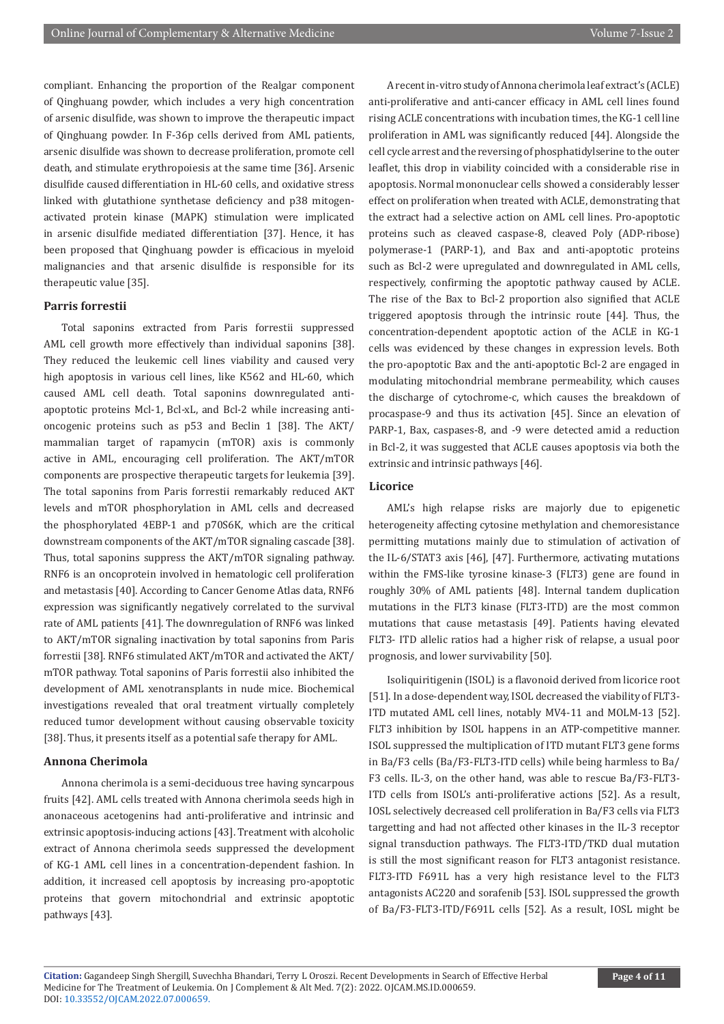compliant. Enhancing the proportion of the Realgar component of Qinghuang powder, which includes a very high concentration of arsenic disulfide, was shown to improve the therapeutic impact of Qinghuang powder. In F-36p cells derived from AML patients, arsenic disulfide was shown to decrease proliferation, promote cell death, and stimulate erythropoiesis at the same time [36]. Arsenic disulfide caused differentiation in HL-60 cells, and oxidative stress linked with glutathione synthetase deficiency and p38 mitogenactivated protein kinase (MAPK) stimulation were implicated in arsenic disulfide mediated differentiation [37]. Hence, it has been proposed that Qinghuang powder is efficacious in myeloid malignancies and that arsenic disulfide is responsible for its therapeutic value [35].

#### **Parris forrestii**

Total saponins extracted from Paris forrestii suppressed AML cell growth more effectively than individual saponins [38]. They reduced the leukemic cell lines viability and caused very high apoptosis in various cell lines, like K562 and HL-60, which caused AML cell death. Total saponins downregulated antiapoptotic proteins Mcl-1, Bcl-xL, and Bcl-2 while increasing antioncogenic proteins such as p53 and Beclin 1 [38]. The AKT/ mammalian target of rapamycin (mTOR) axis is commonly active in AML, encouraging cell proliferation. The AKT/mTOR components are prospective therapeutic targets for leukemia [39]. The total saponins from Paris forrestii remarkably reduced AKT levels and mTOR phosphorylation in AML cells and decreased the phosphorylated 4EBP-1 and p70S6K, which are the critical downstream components of the AKT/mTOR signaling cascade [38]. Thus, total saponins suppress the AKT/mTOR signaling pathway. RNF6 is an oncoprotein involved in hematologic cell proliferation and metastasis [40]. According to Cancer Genome Atlas data, RNF6 expression was significantly negatively correlated to the survival rate of AML patients [41]. The downregulation of RNF6 was linked to AKT/mTOR signaling inactivation by total saponins from Paris forrestii [38]. RNF6 stimulated AKT/mTOR and activated the AKT/ mTOR pathway. Total saponins of Paris forrestii also inhibited the development of AML xenotransplants in nude mice. Biochemical investigations revealed that oral treatment virtually completely reduced tumor development without causing observable toxicity [38]. Thus, it presents itself as a potential safe therapy for AML.

#### **Annona Cherimola**

Annona cherimola is a semi-deciduous tree having syncarpous fruits [42]. AML cells treated with Annona cherimola seeds high in anonaceous acetogenins had anti-proliferative and intrinsic and extrinsic apoptosis-inducing actions [43]. Treatment with alcoholic extract of Annona cherimola seeds suppressed the development of KG-1 AML cell lines in a concentration-dependent fashion. In addition, it increased cell apoptosis by increasing pro-apoptotic proteins that govern mitochondrial and extrinsic apoptotic pathways [43].

A recent in-vitro study of Annona cherimola leaf extract's (ACLE) anti-proliferative and anti-cancer efficacy in AML cell lines found rising ACLE concentrations with incubation times, the KG-1 cell line proliferation in AML was significantly reduced [44]. Alongside the cell cycle arrest and the reversing of phosphatidylserine to the outer leaflet, this drop in viability coincided with a considerable rise in apoptosis. Normal mononuclear cells showed a considerably lesser effect on proliferation when treated with ACLE, demonstrating that the extract had a selective action on AML cell lines. Pro-apoptotic proteins such as cleaved caspase-8, cleaved Poly (ADP-ribose) polymerase-1 (PARP-1), and Bax and anti-apoptotic proteins such as Bcl-2 were upregulated and downregulated in AML cells, respectively, confirming the apoptotic pathway caused by ACLE. The rise of the Bax to Bcl-2 proportion also signified that ACLE triggered apoptosis through the intrinsic route [44]. Thus, the concentration-dependent apoptotic action of the ACLE in KG-1 cells was evidenced by these changes in expression levels. Both the pro-apoptotic Bax and the anti-apoptotic Bcl-2 are engaged in modulating mitochondrial membrane permeability, which causes the discharge of cytochrome-c, which causes the breakdown of procaspase-9 and thus its activation [45]. Since an elevation of PARP-1, Bax, caspases-8, and -9 were detected amid a reduction in Bcl-2, it was suggested that ACLE causes apoptosis via both the extrinsic and intrinsic pathways [46].

#### **Licorice**

AML's high relapse risks are majorly due to epigenetic heterogeneity affecting cytosine methylation and chemoresistance permitting mutations mainly due to stimulation of activation of the IL-6/STAT3 axis [46], [47]. Furthermore, activating mutations within the FMS-like tyrosine kinase-3 (FLT3) gene are found in roughly 30% of AML patients [48]. Internal tandem duplication mutations in the FLT3 kinase (FLT3-ITD) are the most common mutations that cause metastasis [49]. Patients having elevated FLT3- ITD allelic ratios had a higher risk of relapse, a usual poor prognosis, and lower survivability [50].

Isoliquiritigenin (ISOL) is a flavonoid derived from licorice root [51]. In a dose-dependent way, ISOL decreased the viability of FLT3- ITD mutated AML cell lines, notably MV4-11 and MOLM-13 [52]. FLT3 inhibition by ISOL happens in an ATP-competitive manner. ISOL suppressed the multiplication of ITD mutant FLT3 gene forms in Ba/F3 cells (Ba/F3-FLT3-ITD cells) while being harmless to Ba/ F3 cells. IL-3, on the other hand, was able to rescue Ba/F3-FLT3- ITD cells from ISOL's anti-proliferative actions [52]. As a result, IOSL selectively decreased cell proliferation in Ba/F3 cells via FLT3 targetting and had not affected other kinases in the IL-3 receptor signal transduction pathways. The FLT3-ITD/TKD dual mutation is still the most significant reason for FLT3 antagonist resistance. FLT3-ITD F691L has a very high resistance level to the FLT3 antagonists AC220 and sorafenib [53]. ISOL suppressed the growth of Ba/F3-FLT3-ITD/F691L cells [52]. As a result, IOSL might be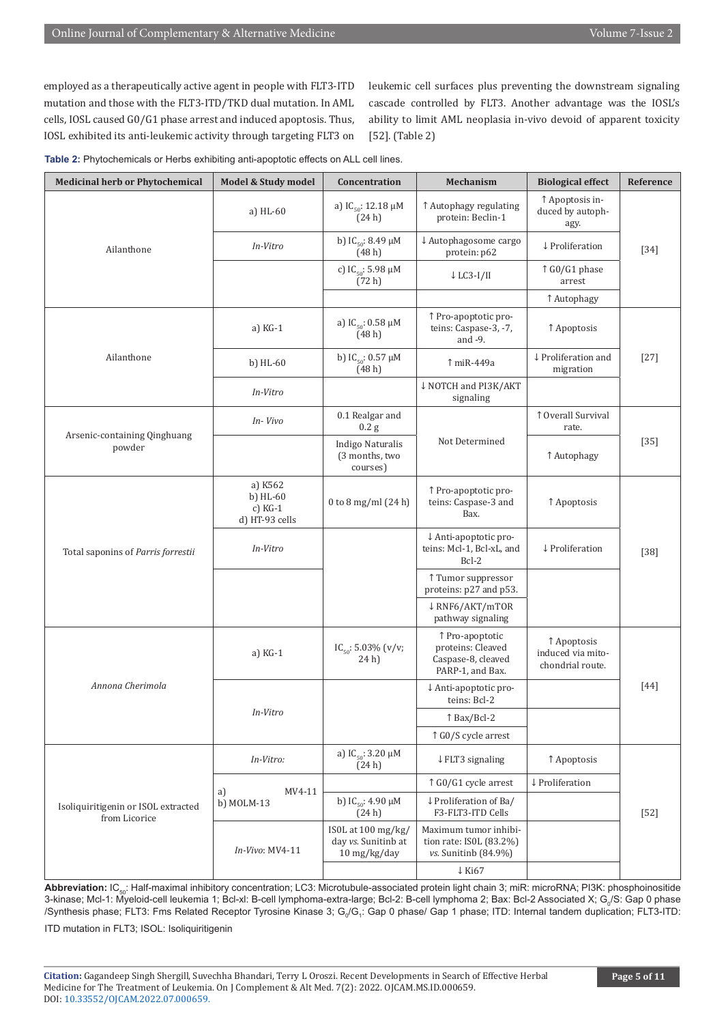employed as a therapeutically active agent in people with FLT3-ITD mutation and those with the FLT3-ITD/TKD dual mutation. In AML cells, IOSL caused G0/G1 phase arrest and induced apoptosis. Thus, IOSL exhibited its anti-leukemic activity through targeting FLT3 on

leukemic cell surfaces plus preventing the downstream signaling cascade controlled by FLT3. Another advantage was the IOSL's ability to limit AML neoplasia in-vivo devoid of apparent toxicity [52]. (Table 2)

| Table 2: Phytochemicals or Herbs exhibiting anti-apoptotic effects on ALL cell lines. |  |  |  |
|---------------------------------------------------------------------------------------|--|--|--|
|---------------------------------------------------------------------------------------|--|--|--|

| <b>Medicinal herb or Phytochemical</b>               | Model & Study model                                  | Concentration                                             | Mechanism                                                                      | <b>Biological effect</b>                             | Reference |  |
|------------------------------------------------------|------------------------------------------------------|-----------------------------------------------------------|--------------------------------------------------------------------------------|------------------------------------------------------|-----------|--|
| Ailanthone                                           | a) HL-60                                             | a) IC <sub>50</sub> : 12.18 $\mu$ M<br>(24h)              | ↑ Autophagy regulating<br>protein: Beclin-1                                    | ↑ Apoptosis in-<br>duced by autoph-<br>agy.          |           |  |
|                                                      | In-Vitro                                             | b) $IC_{50}$ : 8.49 µM<br>(48h)                           | ↓ Autophagosome cargo<br>protein: p62                                          | ↓ Proliferation                                      | $[34]$    |  |
|                                                      |                                                      | c) $IC_{50}$ : 5.98 µM<br>(72 h)                          | $\downarrow$ LC3-I/II                                                          | ↑ G0/G1 phase<br>arrest                              |           |  |
|                                                      |                                                      |                                                           |                                                                                | ↑ Autophagy                                          |           |  |
|                                                      | a) $KG-1$                                            | a) $IC_{50}$ : 0.58 $\mu$ M<br>(48h)                      | ↑ Pro-apoptotic pro-<br>teins: Caspase-3, -7,<br>and -9.                       | ↑ Apoptosis                                          | $[27]$    |  |
| Ailanthone                                           | b) $HL-60$                                           | b) $IC_{50}$ : 0.57 µM<br>(48h)                           | ↑ miR-449a                                                                     | ↓ Proliferation and<br>migration                     |           |  |
|                                                      | In-Vitro                                             |                                                           | ↓ NOTCH and PI3K/AKT<br>signaling                                              |                                                      |           |  |
| Arsenic-containing Qinghuang<br>powder               | In-Vivo                                              | 0.1 Realgar and<br>$0.2$ g                                | Not Determined                                                                 | ↑ Overall Survival<br>rate.                          | $[35]$    |  |
|                                                      |                                                      | <b>Indigo Naturalis</b><br>(3 months, two<br>courses)     |                                                                                | ↑ Autophagy                                          |           |  |
| Total saponins of Parris forrestii                   | a) K562<br>$b)$ HL-60<br>c) $KG-1$<br>d) HT-93 cells | 0 to 8 mg/ml $(24 h)$                                     | ↑ Pro-apoptotic pro-<br>teins: Caspase-3 and<br>Bax.                           | ↑ Apoptosis                                          |           |  |
|                                                      | In-Vitro                                             |                                                           | ↓ Anti-apoptotic pro-<br>teins: Mcl-1, Bcl-xL, and<br>$Bcl-2$                  | ↓ Proliferation                                      | $[38]$    |  |
|                                                      |                                                      |                                                           | ↑ Tumor suppressor<br>proteins: p27 and p53.                                   |                                                      |           |  |
|                                                      |                                                      |                                                           | ↓ RNF6/AKT/mTOR<br>pathway signaling                                           |                                                      |           |  |
| Annona Cherimola                                     | a) KG-1                                              | IC <sub>50</sub> : 5.03% (v/v;<br>24 h)                   | ↑ Pro-apoptotic<br>proteins: Cleaved<br>Caspase-8, cleaved<br>PARP-1, and Bax. | ↑ Apoptosis<br>induced via mito-<br>chondrial route. | $[44]$    |  |
|                                                      | In-Vitro                                             |                                                           | ↓ Anti-apoptotic pro-<br>teins: Bcl-2                                          |                                                      |           |  |
|                                                      |                                                      |                                                           | ↑ Bax/Bcl-2                                                                    |                                                      |           |  |
|                                                      |                                                      |                                                           | ↑ G0/S cycle arrest                                                            |                                                      |           |  |
|                                                      | In-Vitro:                                            | a) $IC_{50}$ : 3.20 $\mu$ M<br>(24h)                      | ↓ FLT3 signaling                                                               | ↑ Apoptosis                                          | $[52]$    |  |
| Isoliquiritigenin or ISOL extracted<br>from Licorice | MV4-11<br>a)<br>b) MOLM-13                           |                                                           | ↑ G0/G1 cycle arrest                                                           | $\downarrow$ Proliferation                           |           |  |
|                                                      |                                                      | b) $IC_{50}$ : 4.90 $\mu$ M<br>(24h)                      | ↓ Proliferation of Ba/<br>F3-FLT3-ITD Cells                                    |                                                      |           |  |
|                                                      | In-Vivo: MV4-11                                      | ISOL at 100 mg/kg/<br>day vs. Sunitinb at<br>10 mg/kg/day | Maximum tumor inhibi-<br>tion rate: ISOL (83.2%)<br>vs. Sunitinb (84.9%)       |                                                      |           |  |
|                                                      |                                                      |                                                           | $\downarrow$ Ki67                                                              |                                                      |           |  |

Abbreviation: IC<sub>50</sub>: Half-maximal inhibitory concentration; LC3: Microtubule-associated protein light chain 3; miR: microRNA; PI3K: phosphoinositide 3-kinase; Mcl-1: Myeloid-cell leukemia 1; Bcl-xl: B-cell lymphoma-extra-large; Bcl-2: B-cell lymphoma 2; Bax: Bcl-2 Associated X; G<sub>o</sub>/S: Gap 0 phase /Synthesis phase; FLT3: Fms Related Receptor Tyrosine Kinase 3; G<sub>o</sub>/G<sub>,</sub>: Gap 0 phase/ Gap 1 phase; ITD: Internal tandem duplication; FLT3-ITD:

ITD mutation in FLT3; ISOL: Isoliquiritigenin

**Citation:** Gagandeep Singh Shergill, Suvechha Bhandari, Terry L Oroszi. Recent Developments in Search of Effective Herbal Medicine for The Treatment of Leukemia. On J Complement & Alt Med. 7(2): 2022. OJCAM.MS.ID.000659. DOI: [10.33552/OJCAM.2022.07.000659](http://dx.doi.org/10.33552/OJCAM.2022.07.000659).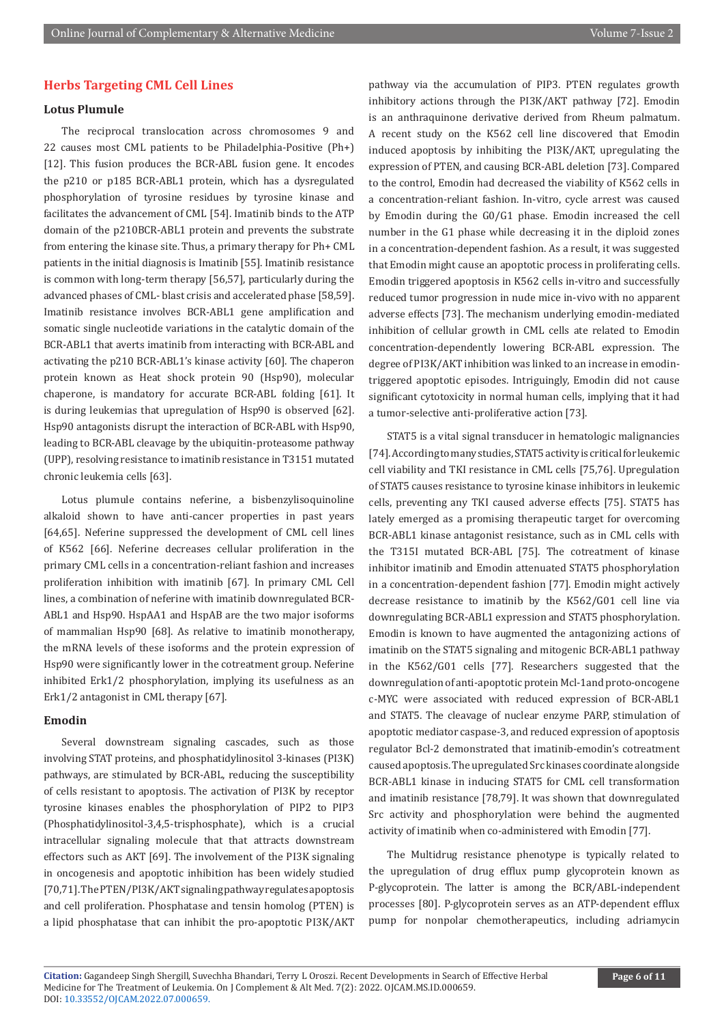## **Herbs Targeting CML Cell Lines**

#### **Lotus Plumule**

The reciprocal translocation across chromosomes 9 and 22 causes most CML patients to be Philadelphia-Positive (Ph+) [12]. This fusion produces the BCR-ABL fusion gene. It encodes the p210 or p185 BCR-ABL1 protein, which has a dysregulated phosphorylation of tyrosine residues by tyrosine kinase and facilitates the advancement of CML [54]. Imatinib binds to the ATP domain of the p210BCR-ABL1 protein and prevents the substrate from entering the kinase site. Thus, a primary therapy for Ph+ CML patients in the initial diagnosis is Imatinib [55]. Imatinib resistance is common with long-term therapy [56,57], particularly during the advanced phases of CML- blast crisis and accelerated phase [58,59]. Imatinib resistance involves BCR-ABL1 gene amplification and somatic single nucleotide variations in the catalytic domain of the BCR-ABL1 that averts imatinib from interacting with BCR-ABL and activating the p210 BCR-ABL1's kinase activity [60]. The chaperon protein known as Heat shock protein 90 (Hsp90), molecular chaperone, is mandatory for accurate BCR-ABL folding [61]. It is during leukemias that upregulation of Hsp90 is observed [62]. Hsp90 antagonists disrupt the interaction of BCR-ABL with Hsp90, leading to BCR-ABL cleavage by the ubiquitin-proteasome pathway (UPP), resolving resistance to imatinib resistance in T3151 mutated chronic leukemia cells [63].

Lotus plumule contains neferine, a bisbenzylisoquinoline alkaloid shown to have anti-cancer properties in past years [64,65]. Neferine suppressed the development of CML cell lines of K562 [66]. Neferine decreases cellular proliferation in the primary CML cells in a concentration-reliant fashion and increases proliferation inhibition with imatinib [67]. In primary CML Cell lines, a combination of neferine with imatinib downregulated BCR-ABL1 and Hsp90. HspAA1 and HspAB are the two major isoforms of mammalian Hsp90 [68]. As relative to imatinib monotherapy, the mRNA levels of these isoforms and the protein expression of Hsp90 were significantly lower in the cotreatment group. Neferine inhibited Erk1/2 phosphorylation, implying its usefulness as an Erk1/2 antagonist in CML therapy [67].

#### **Emodin**

Several downstream signaling cascades, such as those involving STAT proteins, and phosphatidylinositol 3-kinases (PI3K) pathways, are stimulated by BCR-ABL, reducing the susceptibility of cells resistant to apoptosis. The activation of PI3K by receptor tyrosine kinases enables the phosphorylation of PIP2 to PIP3 (Phosphatidylinositol-3,4,5-trisphosphate), which is a crucial intracellular signaling molecule that that attracts downstream effectors such as AKT [69]. The involvement of the PI3K signaling in oncogenesis and apoptotic inhibition has been widely studied [70,71]. The PTEN/PI3K/AKT signaling pathway regulates apoptosis and cell proliferation. Phosphatase and tensin homolog (PTEN) is a lipid phosphatase that can inhibit the pro-apoptotic PI3K/AKT

pathway via the accumulation of PIP3. PTEN regulates growth inhibitory actions through the PI3K/AKT pathway [72]. Emodin is an anthraquinone derivative derived from Rheum palmatum. A recent study on the K562 cell line discovered that Emodin induced apoptosis by inhibiting the PI3K/AKT, upregulating the expression of PTEN, and causing BCR-ABL deletion [73]. Compared to the control, Emodin had decreased the viability of K562 cells in a concentration-reliant fashion. In-vitro, cycle arrest was caused by Emodin during the G0/G1 phase. Emodin increased the cell number in the G1 phase while decreasing it in the diploid zones in a concentration-dependent fashion. As a result, it was suggested that Emodin might cause an apoptotic process in proliferating cells. Emodin triggered apoptosis in K562 cells in-vitro and successfully reduced tumor progression in nude mice in-vivo with no apparent adverse effects [73]. The mechanism underlying emodin-mediated inhibition of cellular growth in CML cells ate related to Emodin concentration-dependently lowering BCR-ABL expression. The degree of PI3K/AKT inhibition was linked to an increase in emodintriggered apoptotic episodes. Intriguingly, Emodin did not cause significant cytotoxicity in normal human cells, implying that it had a tumor-selective anti-proliferative action [73].

STAT5 is a vital signal transducer in hematologic malignancies [74]. According to many studies, STAT5 activity is critical for leukemic cell viability and TKI resistance in CML cells [75,76]. Upregulation of STAT5 causes resistance to tyrosine kinase inhibitors in leukemic cells, preventing any TKI caused adverse effects [75]. STAT5 has lately emerged as a promising therapeutic target for overcoming BCR-ABL1 kinase antagonist resistance, such as in CML cells with the T315I mutated BCR-ABL [75]. The cotreatment of kinase inhibitor imatinib and Emodin attenuated STAT5 phosphorylation in a concentration-dependent fashion [77]. Emodin might actively decrease resistance to imatinib by the K562/G01 cell line via downregulating BCR-ABL1 expression and STAT5 phosphorylation. Emodin is known to have augmented the antagonizing actions of imatinib on the STAT5 signaling and mitogenic BCR-ABL1 pathway in the K562/G01 cells [77]. Researchers suggested that the downregulation of anti-apoptotic protein Mcl-1and proto-oncogene c-MYC were associated with reduced expression of BCR-ABL1 and STAT5. The cleavage of nuclear enzyme PARP, stimulation of apoptotic mediator caspase-3, and reduced expression of apoptosis regulator Bcl-2 demonstrated that imatinib-emodin's cotreatment caused apoptosis. The upregulated Src kinases coordinate alongside BCR-ABL1 kinase in inducing STAT5 for CML cell transformation and imatinib resistance [78,79]. It was shown that downregulated Src activity and phosphorylation were behind the augmented activity of imatinib when co-administered with Emodin [77].

The Multidrug resistance phenotype is typically related to the upregulation of drug efflux pump glycoprotein known as P-glycoprotein. The latter is among the BCR/ABL-independent processes [80]. P-glycoprotein serves as an ATP-dependent efflux pump for nonpolar chemotherapeutics, including adriamycin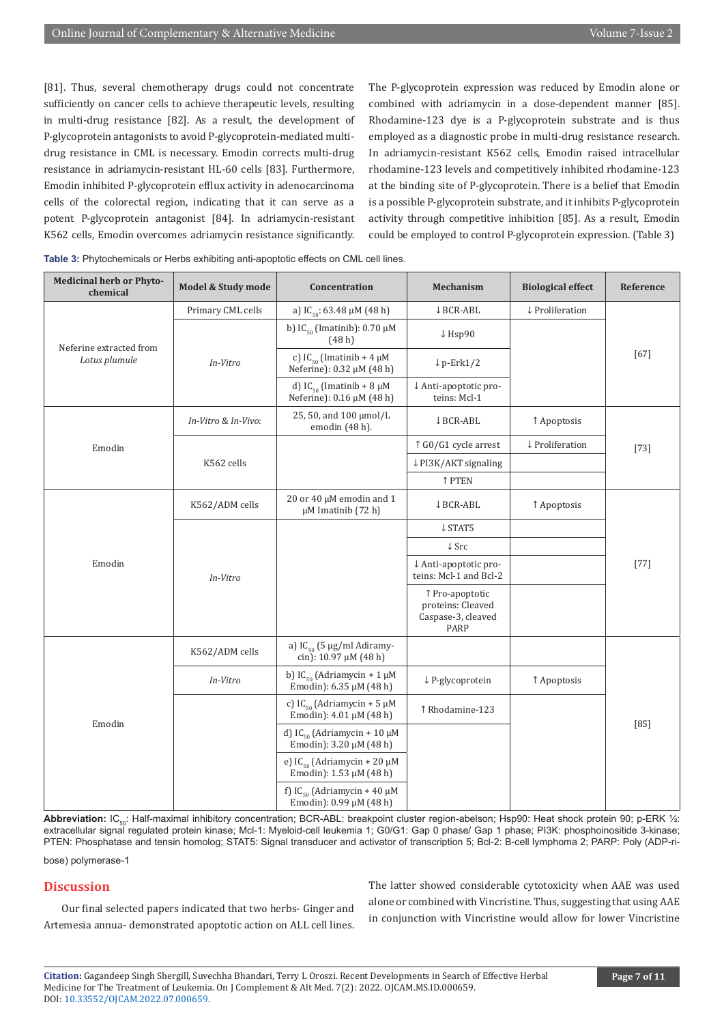[81]. Thus, several chemotherapy drugs could not concentrate sufficiently on cancer cells to achieve therapeutic levels, resulting in multi-drug resistance [82]. As a result, the development of P-glycoprotein antagonists to avoid P-glycoprotein-mediated multidrug resistance in CML is necessary. Emodin corrects multi-drug resistance in adriamycin-resistant HL-60 cells [83]. Furthermore, Emodin inhibited P-glycoprotein efflux activity in adenocarcinoma cells of the colorectal region, indicating that it can serve as a potent P-glycoprotein antagonist [84]. In adriamycin-resistant K562 cells, Emodin overcomes adriamycin resistance significantly.

The P-glycoprotein expression was reduced by Emodin alone or combined with adriamycin in a dose-dependent manner [85]. Rhodamine-123 dye is a P-glycoprotein substrate and is thus employed as a diagnostic probe in multi-drug resistance research. In adriamycin-resistant K562 cells, Emodin raised intracellular rhodamine-123 levels and competitively inhibited rhodamine-123 at the binding site of P-glycoprotein. There is a belief that Emodin is a possible P-glycoprotein substrate, and it inhibits P-glycoprotein activity through competitive inhibition [85]. As a result, Emodin could be employed to control P-glycoprotein expression. (Table 3)

| <b>Medicinal herb or Phyto-</b><br>chemical | Model & Study mode  | Concentration                                                          | <b>Mechanism</b>                                                   | <b>Biological effect</b> | Reference |
|---------------------------------------------|---------------------|------------------------------------------------------------------------|--------------------------------------------------------------------|--------------------------|-----------|
| Neferine extracted from<br>Lotus plumule    | Primary CML cells   | a) IC <sub>50</sub> : 63.48 µM (48 h)                                  | ↓ BCR-ABL                                                          | ↓ Proliferation          | $[67]$    |
|                                             | In-Vitro            | b) IC <sub>50</sub> (Imatinib): $0.70 \mu M$<br>(48h)                  | ↓Hsp90                                                             |                          |           |
|                                             |                     | c) $IC_{50}$ (Imatinib + 4 $\mu$ M<br>Neferine): 0.32 μM (48 h)        | $\downarrow$ p-Erk1/2                                              |                          |           |
|                                             |                     | d) IC <sub>50</sub> (Imatinib + 8 $\mu$ M<br>Neferine): 0.16 μM (48 h) | ↓ Anti-apoptotic pro-<br>teins: Mcl-1                              |                          |           |
|                                             | In-Vitro & In-Vivo: | 25, 50, and 100 µmol/L<br>emodin (48 h).                               | ↓ BCR-ABL                                                          | ↑ Apoptosis              | $[73]$    |
| Emodin                                      | K562 cells          |                                                                        | ↑ G0/G1 cycle arrest                                               | ↓ Proliferation          |           |
|                                             |                     |                                                                        | $\downarrow$ PI3K/AKT signaling                                    |                          |           |
|                                             |                     |                                                                        | ↑ PTEN                                                             |                          |           |
| Emodin                                      | K562/ADM cells      | 20 or 40 µM emodin and 1<br>$\mu$ M Imatinib (72 h)                    | ↓ BCR-ABL                                                          | ↑ Apoptosis              | $[77]$    |
|                                             | In-Vitro            |                                                                        | $\downarrow$ STAT5                                                 |                          |           |
|                                             |                     |                                                                        | $\downarrow$ Src                                                   |                          |           |
|                                             |                     |                                                                        | ↓ Anti-apoptotic pro-<br>teins: Mcl-1 and Bcl-2                    |                          |           |
|                                             |                     |                                                                        | ↑ Pro-apoptotic<br>proteins: Cleaved<br>Caspase-3, cleaved<br>PARP |                          |           |
| Emodin                                      | K562/ADM cells      | a) $IC_{50}$ (5 µg/ml Adiramy-<br>cin): $10.97 \mu M$ (48 h)           |                                                                    |                          | $[85]$    |
|                                             | In-Vitro            | b) $IC_{50}$ (Adriamycin + 1 µM<br>Emodin): 6.35 µM (48 h)             | ↓ P-glycoprotein                                                   | ↑ Apoptosis              |           |
|                                             |                     | c) $IC_{50}$ (Adriamycin + 5 µM<br>Emodin): 4.01 μM (48 h)             | ↑Rhodamine-123                                                     |                          |           |
|                                             |                     | d) IC <sub>50</sub> (Adriamycin + 10 µM<br>Emodin): 3.20 µM (48 h)     |                                                                    |                          |           |
|                                             |                     | e) IC <sub>50</sub> (Adriamycin + 20 µM<br>Emodin): 1.53 µM (48 h)     |                                                                    |                          |           |
|                                             |                     | f) IC <sub>50</sub> (Adriamycin + 40 µM<br>Emodin): 0.99 μM (48 h)     |                                                                    |                          |           |

Abbreviation: IC<sub>50</sub>: Half-maximal inhibitory concentration; BCR-ABL: breakpoint cluster region-abelson; Hsp90: Heat shock protein 90; p-ERK 1/2: extracellular signal regulated protein kinase; Mcl-1: Myeloid-cell leukemia 1; G0/G1: Gap 0 phase/ Gap 1 phase; PI3K: phosphoinositide 3-kinase; PTEN: Phosphatase and tensin homolog; STAT5: Signal transducer and activator of transcription 5; Bcl-2: B-cell lymphoma 2; PARP: Poly (ADP-ribose) polymerase-1

#### **Discussion**

Our final selected papers indicated that two herbs- Ginger and Artemesia annua- demonstrated apoptotic action on ALL cell lines. The latter showed considerable cytotoxicity when AAE was used alone or combined with Vincristine. Thus, suggesting that using AAE in conjunction with Vincristine would allow for lower Vincristine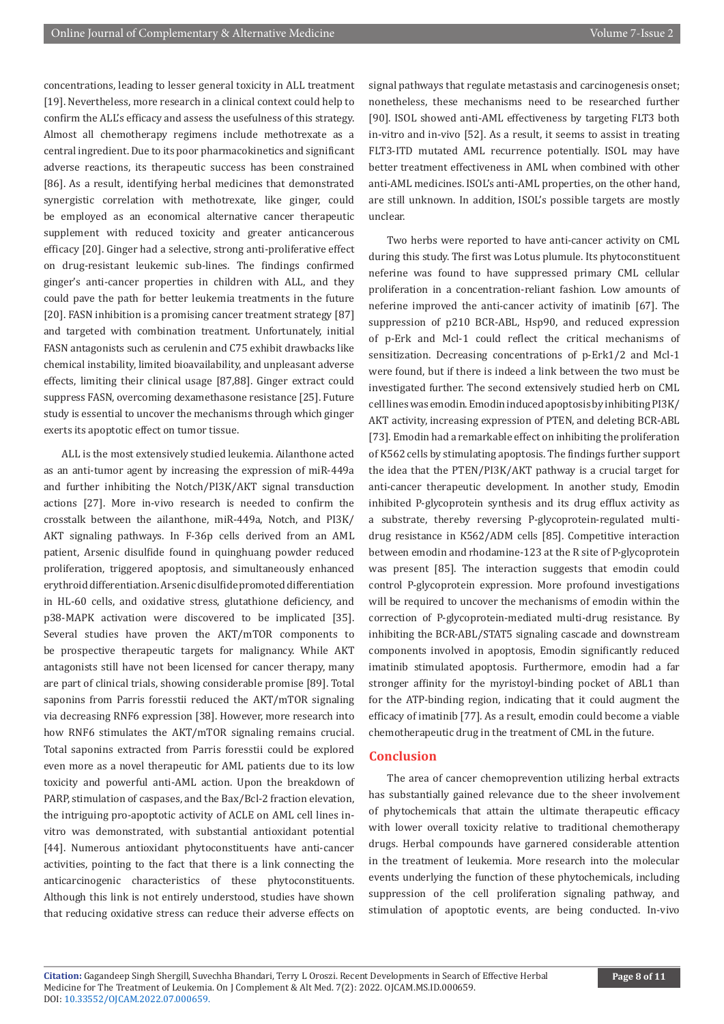concentrations, leading to lesser general toxicity in ALL treatment [19]. Nevertheless, more research in a clinical context could help to confirm the ALL's efficacy and assess the usefulness of this strategy. Almost all chemotherapy regimens include methotrexate as a central ingredient. Due to its poor pharmacokinetics and significant adverse reactions, its therapeutic success has been constrained [86]. As a result, identifying herbal medicines that demonstrated synergistic correlation with methotrexate, like ginger, could be employed as an economical alternative cancer therapeutic supplement with reduced toxicity and greater anticancerous efficacy [20]. Ginger had a selective, strong anti-proliferative effect on drug-resistant leukemic sub-lines. The findings confirmed ginger's anti-cancer properties in children with ALL, and they could pave the path for better leukemia treatments in the future [20]. FASN inhibition is a promising cancer treatment strategy [87] and targeted with combination treatment. Unfortunately, initial FASN antagonists such as cerulenin and C75 exhibit drawbacks like chemical instability, limited bioavailability, and unpleasant adverse effects, limiting their clinical usage [87,88]. Ginger extract could suppress FASN, overcoming dexamethasone resistance [25]. Future study is essential to uncover the mechanisms through which ginger exerts its apoptotic effect on tumor tissue.

ALL is the most extensively studied leukemia. Ailanthone acted as an anti-tumor agent by increasing the expression of miR-449a and further inhibiting the Notch/PI3K/AKT signal transduction actions [27]. More in-vivo research is needed to confirm the crosstalk between the ailanthone, miR-449a, Notch, and PI3K/ AKT signaling pathways. In F-36p cells derived from an AML patient, Arsenic disulfide found in quinghuang powder reduced proliferation, triggered apoptosis, and simultaneously enhanced erythroid differentiation. Arsenic disulfide promoted differentiation in HL-60 cells, and oxidative stress, glutathione deficiency, and p38-MAPK activation were discovered to be implicated [35]. Several studies have proven the AKT/mTOR components to be prospective therapeutic targets for malignancy. While AKT antagonists still have not been licensed for cancer therapy, many are part of clinical trials, showing considerable promise [89]. Total saponins from Parris foresstii reduced the AKT/mTOR signaling via decreasing RNF6 expression [38]. However, more research into how RNF6 stimulates the AKT/mTOR signaling remains crucial. Total saponins extracted from Parris foresstii could be explored even more as a novel therapeutic for AML patients due to its low toxicity and powerful anti-AML action. Upon the breakdown of PARP, stimulation of caspases, and the Bax/Bcl-2 fraction elevation, the intriguing pro-apoptotic activity of ACLE on AML cell lines invitro was demonstrated, with substantial antioxidant potential [44]. Numerous antioxidant phytoconstituents have anti-cancer activities, pointing to the fact that there is a link connecting the anticarcinogenic characteristics of these phytoconstituents. Although this link is not entirely understood, studies have shown that reducing oxidative stress can reduce their adverse effects on

signal pathways that regulate metastasis and carcinogenesis onset; nonetheless, these mechanisms need to be researched further [90]. ISOL showed anti-AML effectiveness by targeting FLT3 both in-vitro and in-vivo [52]. As a result, it seems to assist in treating FLT3-ITD mutated AML recurrence potentially. ISOL may have better treatment effectiveness in AML when combined with other anti-AML medicines. ISOL's anti-AML properties, on the other hand, are still unknown. In addition, ISOL's possible targets are mostly unclear.

Two herbs were reported to have anti-cancer activity on CML during this study. The first was Lotus plumule. Its phytoconstituent neferine was found to have suppressed primary CML cellular proliferation in a concentration-reliant fashion. Low amounts of neferine improved the anti-cancer activity of imatinib [67]. The suppression of p210 BCR-ABL, Hsp90, and reduced expression of p-Erk and Mcl-1 could reflect the critical mechanisms of sensitization. Decreasing concentrations of p-Erk1/2 and Mcl-1 were found, but if there is indeed a link between the two must be investigated further. The second extensively studied herb on CML cell lines was emodin. Emodin induced apoptosis by inhibiting PI3K/ AKT activity, increasing expression of PTEN, and deleting BCR-ABL [73]. Emodin had a remarkable effect on inhibiting the proliferation of K562 cells by stimulating apoptosis. The findings further support the idea that the PTEN/PI3K/AKT pathway is a crucial target for anti-cancer therapeutic development. In another study, Emodin inhibited P-glycoprotein synthesis and its drug efflux activity as a substrate, thereby reversing P-glycoprotein-regulated multidrug resistance in K562/ADM cells [85]. Competitive interaction between emodin and rhodamine-123 at the R site of P-glycoprotein was present [85]. The interaction suggests that emodin could control P-glycoprotein expression. More profound investigations will be required to uncover the mechanisms of emodin within the correction of P-glycoprotein-mediated multi-drug resistance. By inhibiting the BCR-ABL/STAT5 signaling cascade and downstream components involved in apoptosis, Emodin significantly reduced imatinib stimulated apoptosis. Furthermore, emodin had a far stronger affinity for the myristoyl-binding pocket of ABL1 than for the ATP-binding region, indicating that it could augment the efficacy of imatinib [77]. As a result, emodin could become a viable chemotherapeutic drug in the treatment of CML in the future.

#### **Conclusion**

The area of cancer chemoprevention utilizing herbal extracts has substantially gained relevance due to the sheer involvement of phytochemicals that attain the ultimate therapeutic efficacy with lower overall toxicity relative to traditional chemotherapy drugs. Herbal compounds have garnered considerable attention in the treatment of leukemia. More research into the molecular events underlying the function of these phytochemicals, including suppression of the cell proliferation signaling pathway, and stimulation of apoptotic events, are being conducted. In-vivo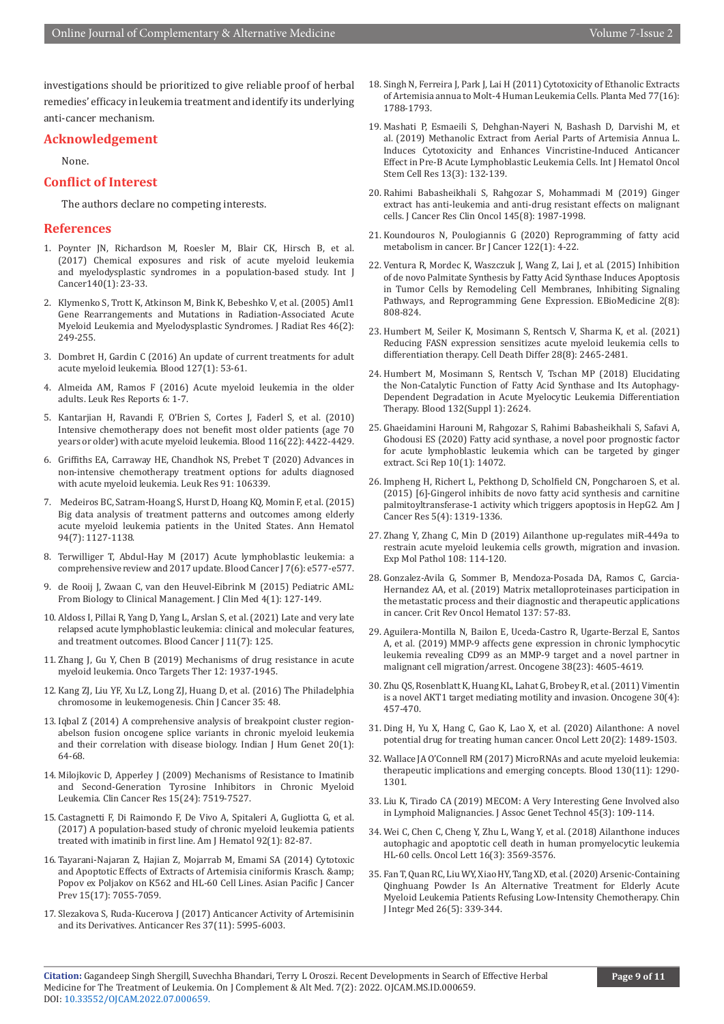investigations should be prioritized to give reliable proof of herbal remedies' efficacy in leukemia treatment and identify its underlying anti-cancer mechanism.

#### **Acknowledgement**

None.

#### **Conflict of Interest**

The authors declare no competing interests.

#### **References**

- 1. [Poynter JN, Richardson M, Roesler M, Blair CK, Hirsch B, et al.](https://pubmed.ncbi.nlm.nih.gov/27603749/)  [\(2017\) Chemical exposures and risk of acute myeloid leukemia](https://pubmed.ncbi.nlm.nih.gov/27603749/)  [and myelodysplastic syndromes in a population-based study. Int J](https://pubmed.ncbi.nlm.nih.gov/27603749/)  [Cancer140\(1\): 23-33.](https://pubmed.ncbi.nlm.nih.gov/27603749/)
- 2. [Klymenko S, Trott K, Atkinson M, Bink K, Bebeshko V, et al. \(2005\) Aml1](https://pubmed.ncbi.nlm.nih.gov/15988144/)  [Gene Rearrangements and Mutations in Radiation-Associated Acute](https://pubmed.ncbi.nlm.nih.gov/15988144/)  [Myeloid Leukemia and Myelodysplastic Syndromes. J Radiat Res 46\(2\):](https://pubmed.ncbi.nlm.nih.gov/15988144/)  [249-255.](https://pubmed.ncbi.nlm.nih.gov/15988144/)
- 3. [Dombret H, Gardin C \(2016\) An update of current treatments for adult](https://pubmed.ncbi.nlm.nih.gov/26660429/)  [acute myeloid leukemia. Blood 127\(1\): 53-61.](https://pubmed.ncbi.nlm.nih.gov/26660429/)
- 4. Almeida AM, Ramos F (2016) Acute myeloid leukemia in the older adults. Leuk Res Reports 6: 1-7.
- 5. [Kantarjian H, Ravandi F, O'Brien S, Cortes J, Faderl S, et al. \(2010\)](https://pubmed.ncbi.nlm.nih.gov/20668231/)  [Intensive chemotherapy does not benefit most older patients \(age 70](https://pubmed.ncbi.nlm.nih.gov/20668231/)  [years or older\) with acute myeloid leukemia. Blood 116\(22\): 4422-4429.](https://pubmed.ncbi.nlm.nih.gov/20668231/)
- 6. [Griffiths EA, Carraway HE, Chandhok NS, Prebet T \(2020\) Advances in](https://pubmed.ncbi.nlm.nih.gov/32146154/)  [non-intensive chemotherapy treatment options for adults diagnosed](https://pubmed.ncbi.nlm.nih.gov/32146154/)  [with acute myeloid leukemia. Leuk Res 91: 106339.](https://pubmed.ncbi.nlm.nih.gov/32146154/)
- 7. [Medeiros BC, Satram-Hoang S, Hurst D, Hoang KQ, Momin F, et al. \(2015\)](https://pubmed.ncbi.nlm.nih.gov/25791241/)  [Big data analysis of treatment patterns and outcomes among elderly](https://pubmed.ncbi.nlm.nih.gov/25791241/)  [acute myeloid leukemia patients in the United States. Ann Hematol](https://pubmed.ncbi.nlm.nih.gov/25791241/)  [94\(7\): 1127-1138.](https://pubmed.ncbi.nlm.nih.gov/25791241/)
- 8. [Terwilliger T, Abdul-Hay M \(2017\) Acute lymphoblastic leukemia: a](https://pubmed.ncbi.nlm.nih.gov/28665419/)  [comprehensive review and 2017 update. Blood Cancer J 7\(6\): e577-e577.](https://pubmed.ncbi.nlm.nih.gov/28665419/)
- 9. [de Rooij J, Zwaan C, van den Heuvel-Eibrink M \(2015\) Pediatric AML:](https://pubmed.ncbi.nlm.nih.gov/26237023/)  [From Biology to Clinical Management. J Clin Med 4\(1\): 127-149.](https://pubmed.ncbi.nlm.nih.gov/26237023/)
- 10. Aldoss I, Pillai R, Yang D, Yang L, Arslan S, et al. (2021) Late and very late relapsed acute lymphoblastic leukemia: clinical and molecular features, and treatment outcomes. Blood Cancer J 11(7): 125.
- 11. [Zhang J, Gu Y, Chen B \(2019\) Mechanisms of drug resistance in acute](https://pubmed.ncbi.nlm.nih.gov/30881045/)  [myeloid leukemia. Onco Targets Ther 12: 1937-1945.](https://pubmed.ncbi.nlm.nih.gov/30881045/)
- 12. [Kang ZJ, Liu YF, Xu LZ, Long ZJ, Huang D, et al. \(2016\) The Philadelphia](https://pubmed.ncbi.nlm.nih.gov/27233483/)  [chromosome in leukemogenesis. Chin J Cancer 35: 48.](https://pubmed.ncbi.nlm.nih.gov/27233483/)
- 13. [Iqbal Z \(2014\) A comprehensive analysis of breakpoint cluster region](https://pubmed.ncbi.nlm.nih.gov/24959016/)[abelson fusion oncogene splice variants in chronic myeloid leukemia](https://pubmed.ncbi.nlm.nih.gov/24959016/)  [and their correlation with disease biology. Indian J Hum Genet 20\(1\):](https://pubmed.ncbi.nlm.nih.gov/24959016/)  [64-68.](https://pubmed.ncbi.nlm.nih.gov/24959016/)
- 14. [Milojkovic D, Apperley J \(2009\) Mechanisms of Resistance to Imatinib](https://pubmed.ncbi.nlm.nih.gov/20008852/)  [and Second-Generation Tyrosine Inhibitors in Chronic Myeloid](https://pubmed.ncbi.nlm.nih.gov/20008852/)  [Leukemia. Clin Cancer Res 15\(24\): 7519-7527.](https://pubmed.ncbi.nlm.nih.gov/20008852/)
- 15. [Castagnetti F, Di Raimondo F, De Vivo A, Spitaleri A, Gugliotta G, et al.](https://pubmed.ncbi.nlm.nih.gov/27770583/)  [\(2017\) A population-based study of chronic myeloid leukemia patients](https://pubmed.ncbi.nlm.nih.gov/27770583/)  [treated with imatinib in first line. Am J Hematol 92\(1\): 82-87.](https://pubmed.ncbi.nlm.nih.gov/27770583/)
- 16. [Tayarani-Najaran Z, Hajian Z, Mojarrab M, Emami SA \(2014\) Cytotoxic](https://pubmed.ncbi.nlm.nih.gov/25227790/)  [and Apoptotic Effects of Extracts of Artemisia ciniformis Krasch. &](https://pubmed.ncbi.nlm.nih.gov/25227790/)  [Popov ex Poljakov on K562 and HL-60 Cell Lines. Asian Pacific J Cancer](https://pubmed.ncbi.nlm.nih.gov/25227790/)  [Prev 15\(17\): 7055-7059.](https://pubmed.ncbi.nlm.nih.gov/25227790/)
- 17. [Slezakova S, Ruda-Kucerova J \(2017\) Anticancer Activity of Artemisinin](https://pubmed.ncbi.nlm.nih.gov/29061778/)  [and its Derivatives. Anticancer Res 37\(11\): 5995-6003.](https://pubmed.ncbi.nlm.nih.gov/29061778/)
- 18. [Singh N, Ferreira J, Park J, Lai H \(2011\) Cytotoxicity of Ethanolic Extracts](https://pubmed.ncbi.nlm.nih.gov/21674435/) [of Artemisia annua to Molt-4 Human Leukemia Cells. Planta Med 77\(16\):](https://pubmed.ncbi.nlm.nih.gov/21674435/) [1788-1793.](https://pubmed.ncbi.nlm.nih.gov/21674435/)
- 19. [Mashati P, Esmaeili S, Dehghan-Nayeri N, Bashash D, Darvishi M, et](https://pubmed.ncbi.nlm.nih.gov/31649803/) [al. \(2019\) Methanolic Extract from Aerial Parts of Artemisia Annua L.](https://pubmed.ncbi.nlm.nih.gov/31649803/) [Induces Cytotoxicity and Enhances Vincristine-Induced Anticancer](https://pubmed.ncbi.nlm.nih.gov/31649803/) [Effect in Pre-B Acute Lymphoblastic Leukemia Cells. Int J Hematol Oncol](https://pubmed.ncbi.nlm.nih.gov/31649803/) [Stem Cell Res 13\(3\): 132-139.](https://pubmed.ncbi.nlm.nih.gov/31649803/)
- 20. [Rahimi Babasheikhali S, Rahgozar S, Mohammadi M \(2019\) Ginger](https://pubmed.ncbi.nlm.nih.gov/31214760/) [extract has anti-leukemia and anti-drug resistant effects on malignant](https://pubmed.ncbi.nlm.nih.gov/31214760/) [cells. J Cancer Res Clin Oncol 145\(8\): 1987-1998.](https://pubmed.ncbi.nlm.nih.gov/31214760/)
- 21. [Koundouros N, Poulogiannis G \(2020\) Reprogramming of fatty acid](https://pubmed.ncbi.nlm.nih.gov/31819192/) [metabolism in cancer. Br J Cancer 122\(1\): 4-22.](https://pubmed.ncbi.nlm.nih.gov/31819192/)
- 22. [Ventura R, Mordec K, Waszczuk J, Wang Z, Lai J, et al. \(2015\) Inhibition](https://pubmed.ncbi.nlm.nih.gov/26425687/) [of de novo Palmitate Synthesis by Fatty Acid Synthase Induces Apoptosis](https://pubmed.ncbi.nlm.nih.gov/26425687/) [in Tumor Cells by Remodeling Cell Membranes, Inhibiting Signaling](https://pubmed.ncbi.nlm.nih.gov/26425687/) [Pathways, and Reprogramming Gene Expression. EBioMedicine 2\(8\):](https://pubmed.ncbi.nlm.nih.gov/26425687/) [808-824.](https://pubmed.ncbi.nlm.nih.gov/26425687/)
- 23. [Humbert M, Seiler K, Mosimann S, Rentsch V, Sharma K, et al. \(2021\)](https://pubmed.ncbi.nlm.nih.gov/33742137/) [Reducing FASN expression sensitizes acute myeloid leukemia cells to](https://pubmed.ncbi.nlm.nih.gov/33742137/) [differentiation therapy. Cell Death Differ 28\(8\): 2465-2481.](https://pubmed.ncbi.nlm.nih.gov/33742137/)
- 24. Humbert M, Mosimann S, Rentsch V, Tschan MP (2018) Elucidating the Non-Catalytic Function of Fatty Acid Synthase and Its Autophagy-Dependent Degradation in Acute Myelocytic Leukemia Differentiation Therapy. Blood 132(Suppl 1): 2624.
- 25. Ghaeidamini Harouni M, Rahgozar S, Rahimi Babasheikhali S, Safavi A, Ghodousi ES (2020) Fatty acid synthase, a novel poor prognostic factor for acute lymphoblastic leukemia which can be targeted by ginger extract. Sci Rep 10(1): 14072.
- 26. [Impheng H, Richert L, Pekthong D, Scholfield CN, Pongcharoen S, et al.](https://pubmed.ncbi.nlm.nih.gov/26101700/) [\(2015\) \[6\]-Gingerol inhibits de novo fatty acid synthesis and carnitine](https://pubmed.ncbi.nlm.nih.gov/26101700/) [palmitoyltransferase-1 activity which triggers apoptosis in HepG2. Am J](https://pubmed.ncbi.nlm.nih.gov/26101700/) [Cancer Res 5\(4\): 1319-1336.](https://pubmed.ncbi.nlm.nih.gov/26101700/)
- 27. [Zhang Y, Zhang C, Min D \(2019\) Ailanthone up-regulates miR-449a to](https://pubmed.ncbi.nlm.nih.gov/31002772/) [restrain acute myeloid leukemia cells growth, migration and invasion.](https://pubmed.ncbi.nlm.nih.gov/31002772/) [Exp Mol Pathol 108: 114-120.](https://pubmed.ncbi.nlm.nih.gov/31002772/)
- 28. [Gonzalez-Avila G, Sommer B, Mendoza-Posada DA, Ramos C, Garcia-](https://pubmed.ncbi.nlm.nih.gov/31014516/)[Hernandez AA, et al. \(2019\) Matrix metalloproteinases participation in](https://pubmed.ncbi.nlm.nih.gov/31014516/) [the metastatic process and their diagnostic and therapeutic applications](https://pubmed.ncbi.nlm.nih.gov/31014516/) [in cancer. Crit Rev Oncol Hematol 137: 57-83.](https://pubmed.ncbi.nlm.nih.gov/31014516/)
- 29. [Aguilera-Montilla N, Bailon E, Uceda-Castro R, Ugarte-Berzal E, Santos](https://pubmed.ncbi.nlm.nih.gov/30760844/) [A, et al. \(2019\) MMP-9 affects gene expression in chronic lymphocytic](https://pubmed.ncbi.nlm.nih.gov/30760844/) [leukemia revealing CD99 as an MMP-9 target and a novel partner in](https://pubmed.ncbi.nlm.nih.gov/30760844/) [malignant cell migration/arrest. Oncogene 38\(23\): 4605-4619.](https://pubmed.ncbi.nlm.nih.gov/30760844/)
- 30. [Zhu QS, Rosenblatt K, Huang KL, Lahat G, Brobey R, et al. \(2011\) Vimentin](https://pubmed.ncbi.nlm.nih.gov/20856200/) [is a novel AKT1 target mediating motility and invasion. Oncogene 30\(4\):](https://pubmed.ncbi.nlm.nih.gov/20856200/) [457-470.](https://pubmed.ncbi.nlm.nih.gov/20856200/)
- 31. [Ding H, Yu X, Hang C, Gao K, Lao X, et al. \(2020\) Ailanthone: A novel](https://pubmed.ncbi.nlm.nih.gov/32724391/) [potential drug for treating human cancer. Oncol Lett 20\(2\): 1489-1503.](https://pubmed.ncbi.nlm.nih.gov/32724391/)
- 32. [Wallace JA O'Connell RM \(2017\) MicroRNAs and acute myeloid leukemia:](https://pubmed.ncbi.nlm.nih.gov/28751524/) [therapeutic implications and emerging concepts. Blood 130\(11\): 1290-](https://pubmed.ncbi.nlm.nih.gov/28751524/) [1301.](https://pubmed.ncbi.nlm.nih.gov/28751524/)
- 33. [Liu K, Tirado CA \(2019\) MECOM: A Very Interesting Gene Involved also](https://pubmed.ncbi.nlm.nih.gov/31554743/) [in Lymphoid Malignancies. J Assoc Genet Technol 45\(3\): 109-114.](https://pubmed.ncbi.nlm.nih.gov/31554743/)
- 34. [Wei C, Chen C, Cheng Y, Zhu L, Wang Y, et al. \(2018\) Ailanthone induces](https://pubmed.ncbi.nlm.nih.gov/30127963/) [autophagic and apoptotic cell death in human promyelocytic leukemia](https://pubmed.ncbi.nlm.nih.gov/30127963/) [HL‑60 cells. Oncol Lett 16\(3\): 3569-3576.](https://pubmed.ncbi.nlm.nih.gov/30127963/)
- 35. [Fan T, Quan RC, Liu WY, Xiao HY, Tang XD, et al. \(2020\) Arsenic-Containing](https://pubmed.ncbi.nlm.nih.gov/31848890/) [Qinghuang Powder Is An Alternative Treatment for Elderly Acute](https://pubmed.ncbi.nlm.nih.gov/31848890/) [Myeloid Leukemia Patients Refusing Low-Intensity Chemotherapy. Chin](https://pubmed.ncbi.nlm.nih.gov/31848890/) [J Integr Med 26\(5\): 339-344.](https://pubmed.ncbi.nlm.nih.gov/31848890/)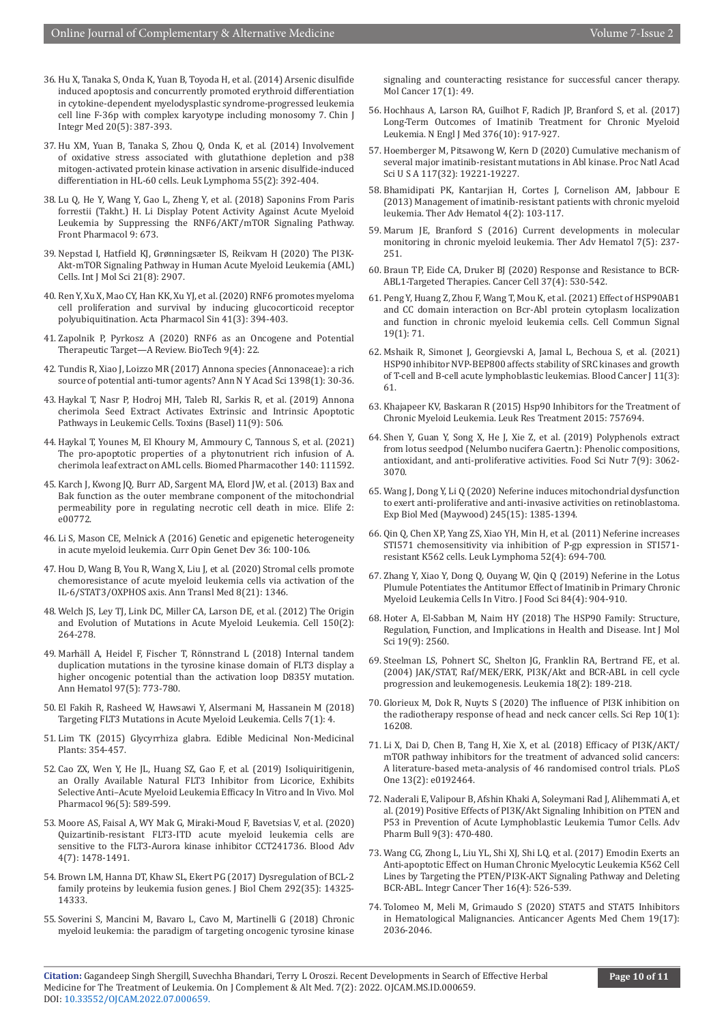- 36. [Hu X, Tanaka S, Onda K, Yuan B, Toyoda H, et al. \(2014\) Arsenic disulfide](https://pubmed.ncbi.nlm.nih.gov/24610410/)  [induced apoptosis and concurrently promoted erythroid differentiation](https://pubmed.ncbi.nlm.nih.gov/24610410/)  [in cytokine-dependent myelodysplastic syndrome-progressed leukemia](https://pubmed.ncbi.nlm.nih.gov/24610410/)  [cell line F-36p with complex karyotype including monosomy 7. Chin J](https://pubmed.ncbi.nlm.nih.gov/24610410/)  [Integr Med 20\(5\): 387-393.](https://pubmed.ncbi.nlm.nih.gov/24610410/)
- 37. [Hu XM, Yuan B, Tanaka S, Zhou Q, Onda K, et al. \(2014\) Involvement](https://pubmed.ncbi.nlm.nih.gov/23668819/)  [of oxidative stress associated with glutathione depletion and p38](https://pubmed.ncbi.nlm.nih.gov/23668819/)  [mitogen-activated protein kinase activation in arsenic disulfide-induced](https://pubmed.ncbi.nlm.nih.gov/23668819/)  [differentiation in HL-60 cells. Leuk Lymphoma 55\(2\): 392-404.](https://pubmed.ncbi.nlm.nih.gov/23668819/)
- 38. [Lu Q, He Y, Wang Y, Gao L, Zheng Y, et al. \(2018\) Saponins From Paris](https://pubmed.ncbi.nlm.nih.gov/29997504/)  [forrestii \(Takht.\) H. Li Display Potent Activity Against Acute Myeloid](https://pubmed.ncbi.nlm.nih.gov/29997504/)  [Leukemia by Suppressing the RNF6/AKT/mTOR Signaling Pathway.](https://pubmed.ncbi.nlm.nih.gov/29997504/)  [Front Pharmacol 9: 673.](https://pubmed.ncbi.nlm.nih.gov/29997504/)
- 39. [Nepstad I, Hatfield KJ, Grønningsæter IS, Reikvam H \(2020\) The PI3K-](https://pubmed.ncbi.nlm.nih.gov/32326335/)[Akt-mTOR Signaling Pathway in Human Acute Myeloid Leukemia \(AML\)](https://pubmed.ncbi.nlm.nih.gov/32326335/)  [Cells. Int J Mol Sci 21\(8\): 2907.](https://pubmed.ncbi.nlm.nih.gov/32326335/)
- 40. [Ren Y, Xu X, Mao CY, Han KK, Xu YJ, et al. \(2020\) RNF6 promotes myeloma](https://pubmed.ncbi.nlm.nih.gov/31645658/)  [cell proliferation and survival by inducing glucocorticoid receptor](https://pubmed.ncbi.nlm.nih.gov/31645658/)  [polyubiquitination. Acta Pharmacol Sin 41\(3\): 394-403.](https://pubmed.ncbi.nlm.nih.gov/31645658/)
- 41. Zapolnik P, Pyrkosz A (2020) RNF6 as an Oncogene and Potential Therapeutic Target—A Review. BioTech 9(4): 22.
- 42. [Tundis R, Xiao J, Loizzo MR \(2017\) Annona species \(Annonaceae\): a rich](https://pubmed.ncbi.nlm.nih.gov/28415154/)  [source of potential anti-tumor agents? Ann N Y Acad Sci 1398\(1\): 30-36.](https://pubmed.ncbi.nlm.nih.gov/28415154/)
- 43. [Haykal T, Nasr P, Hodroj MH, Taleb RI, Sarkis R, et al. \(2019\) Annona](https://pubmed.ncbi.nlm.nih.gov/31480255/)  [cherimola Seed Extract Activates Extrinsic and Intrinsic Apoptotic](https://pubmed.ncbi.nlm.nih.gov/31480255/)  [Pathways in Leukemic Cells. Toxins \(Basel\) 11\(9\): 506.](https://pubmed.ncbi.nlm.nih.gov/31480255/)
- 44. [Haykal T, Younes M, El Khoury M, Ammoury C, Tannous S, et al. \(2021\)](https://pubmed.ncbi.nlm.nih.gov/34088572/)  [The pro-apoptotic properties of a phytonutrient rich infusion of A.](https://pubmed.ncbi.nlm.nih.gov/34088572/)  [cherimola leaf extract on AML cells. Biomed Pharmacother 140: 111592.](https://pubmed.ncbi.nlm.nih.gov/34088572/)
- 45. [Karch J, Kwong JQ, Burr AD, Sargent MA, Elord JW, et al. \(2013\) Bax and](https://pubmed.ncbi.nlm.nih.gov/23991283/)  [Bak function as the outer membrane component of the mitochondrial](https://pubmed.ncbi.nlm.nih.gov/23991283/)  [permeability pore in regulating necrotic cell death in mice. Elife 2:](https://pubmed.ncbi.nlm.nih.gov/23991283/)  [e00772.](https://pubmed.ncbi.nlm.nih.gov/23991283/)
- 46. [Li S, Mason CE, Melnick A \(2016\) Genetic and epigenetic heterogeneity](https://pubmed.ncbi.nlm.nih.gov/27162099/)  [in acute myeloid leukemia. Curr Opin Genet Dev 36: 100-106.](https://pubmed.ncbi.nlm.nih.gov/27162099/)
- 47. [Hou D, Wang B, You R, Wang X, Liu J, et al. \(2020\) Stromal cells promote](https://pubmed.ncbi.nlm.nih.gov/33313091/)  [chemoresistance of acute myeloid leukemia cells via activation of the](https://pubmed.ncbi.nlm.nih.gov/33313091/)  [IL-6/STAT3/OXPHOS axis. Ann Transl Med 8\(21\): 1346.](https://pubmed.ncbi.nlm.nih.gov/33313091/)
- 48. [Welch JS, Ley TJ, Link DC, Miller CA, Larson DE, et al. \(2012\) The Origin](https://pubmed.ncbi.nlm.nih.gov/22817890/)  [and Evolution of Mutations in Acute Myeloid Leukemia. Cell 150\(2\):](https://pubmed.ncbi.nlm.nih.gov/22817890/)  [264-278.](https://pubmed.ncbi.nlm.nih.gov/22817890/)
- 49. [Marhäll A, Heidel F, Fischer T, Rönnstrand L \(2018\) Internal tandem](https://pubmed.ncbi.nlm.nih.gov/29372308/)  [duplication mutations in the tyrosine kinase domain of FLT3 display a](https://pubmed.ncbi.nlm.nih.gov/29372308/)  [higher oncogenic potential than the activation loop D835Y mutation.](https://pubmed.ncbi.nlm.nih.gov/29372308/)  [Ann Hematol 97\(5\): 773-780.](https://pubmed.ncbi.nlm.nih.gov/29372308/)
- 50. [El Fakih R, Rasheed W, Hawsawi Y, Alsermani M, Hassanein M \(2018\)](https://pubmed.ncbi.nlm.nih.gov/29316714/)  [Targeting FLT3 Mutations in Acute Myeloid Leukemia. Cells 7\(1\): 4.](https://pubmed.ncbi.nlm.nih.gov/29316714/)
- 51. [Lim TK \(2015\) Glycyrrhiza glabra. Edible Medicinal Non-Medicinal](https://www.ncbi.nlm.nih.gov/pmc/articles/PMC7122586/)  [Plants: 354-457.](https://www.ncbi.nlm.nih.gov/pmc/articles/PMC7122586/)
- 52. [Cao ZX, Wen Y, He JL, Huang SZ, Gao F, et al. \(2019\) Isoliquiritigenin,](https://pubmed.ncbi.nlm.nih.gov/31462456/)  [an Orally Available Natural FLT3 Inhibitor from Licorice, Exhibits](https://pubmed.ncbi.nlm.nih.gov/31462456/)  [Selective Anti–Acute Myeloid Leukemia Efficacy In Vitro and In Vivo. Mol](https://pubmed.ncbi.nlm.nih.gov/31462456/)  [Pharmacol 96\(5\): 589-599.](https://pubmed.ncbi.nlm.nih.gov/31462456/)
- 53. [Moore AS, Faisal A, WY Mak G, Miraki-Moud F, Bavetsias V, et al. \(2020\)](https://pubmed.ncbi.nlm.nih.gov/32282883/)  [Quizartinib-resistant FLT3-ITD acute myeloid leukemia cells are](https://pubmed.ncbi.nlm.nih.gov/32282883/)  [sensitive to the FLT3-Aurora kinase inhibitor CCT241736. Blood Adv](https://pubmed.ncbi.nlm.nih.gov/32282883/)  [4\(7\): 1478-1491.](https://pubmed.ncbi.nlm.nih.gov/32282883/)
- 54. [Brown LM, Hanna DT, Khaw SL, Ekert PG \(2017\) Dysregulation of BCL-2](https://pubmed.ncbi.nlm.nih.gov/28717011/)  [family proteins by leukemia fusion genes. J Biol Chem 292\(35\): 14325-](https://pubmed.ncbi.nlm.nih.gov/28717011/) [14333.](https://pubmed.ncbi.nlm.nih.gov/28717011/)
- 55. [Soverini S, Mancini M, Bavaro L, Cavo M, Martinelli G \(2018\) Chronic](https://pubmed.ncbi.nlm.nih.gov/29455643/)  [myeloid leukemia: the paradigm of targeting oncogenic tyrosine kinase](https://pubmed.ncbi.nlm.nih.gov/29455643/)

[signaling and counteracting resistance for successful cancer therapy.](https://pubmed.ncbi.nlm.nih.gov/29455643/) [Mol Cancer 17\(1\): 49.](https://pubmed.ncbi.nlm.nih.gov/29455643/)

- 56. [Hochhaus A, Larson RA, Guilhot F, Radich JP, Branford S, et al. \(2017\)](https://pubmed.ncbi.nlm.nih.gov/28273028/) [Long-Term Outcomes of Imatinib Treatment for Chronic Myeloid](https://pubmed.ncbi.nlm.nih.gov/28273028/) [Leukemia. N Engl J Med 376\(10\): 917-927.](https://pubmed.ncbi.nlm.nih.gov/28273028/)
- 57. [Hoemberger M, Pitsawong W, Kern D \(2020\) Cumulative mechanism of](https://pubmed.ncbi.nlm.nih.gov/32719139/) [several major imatinib-resistant mutations in Abl kinase. Proc Natl Acad](https://pubmed.ncbi.nlm.nih.gov/32719139/) [Sci U S A 117\(32\): 19221-19227.](https://pubmed.ncbi.nlm.nih.gov/32719139/)
- 58. [Bhamidipati PK, Kantarjian H, Cortes J, Cornelison AM, Jabbour E](https://pubmed.ncbi.nlm.nih.gov/23610618/) [\(2013\) Management of imatinib-resistant patients with chronic myeloid](https://pubmed.ncbi.nlm.nih.gov/23610618/) [leukemia. Ther Adv Hematol 4\(2\): 103-117.](https://pubmed.ncbi.nlm.nih.gov/23610618/)
- 59. [Marum JE, Branford S \(2016\) Current developments in molecular](https://pubmed.ncbi.nlm.nih.gov/27695615/) [monitoring in chronic myeloid leukemia. Ther Adv Hematol 7\(5\): 237-](https://pubmed.ncbi.nlm.nih.gov/27695615/) [251.](https://pubmed.ncbi.nlm.nih.gov/27695615/)
- 60. [Braun TP, Eide CA, Druker BJ \(2020\) Response and Resistance to BCR-](https://pubmed.ncbi.nlm.nih.gov/32289275/)[ABL1-Targeted Therapies. Cancer Cell 37\(4\): 530-542.](https://pubmed.ncbi.nlm.nih.gov/32289275/)
- 61. [Peng Y, Huang Z, Zhou F, Wang T, Mou K, et al. \(2021\) Effect of HSP90AB1](https://biosignaling.biomedcentral.com/articles/10.1186/s12964-021-00752-9) [and CC domain interaction on Bcr-Abl protein cytoplasm localization](https://biosignaling.biomedcentral.com/articles/10.1186/s12964-021-00752-9) [and function in chronic myeloid leukemia cells. Cell Commun Signal](https://biosignaling.biomedcentral.com/articles/10.1186/s12964-021-00752-9) [19\(1\): 71.](https://biosignaling.biomedcentral.com/articles/10.1186/s12964-021-00752-9)
- 62. [Mshaik R, Simonet J, Georgievski A, Jamal L, Bechoua S, et al. \(2021\)](https://pubmed.ncbi.nlm.nih.gov/33737511/) [HSP90 inhibitor NVP-BEP800 affects stability of SRC kinases and growth](https://pubmed.ncbi.nlm.nih.gov/33737511/) [of T-cell and B-cell acute lymphoblastic leukemias. Blood Cancer J 11\(3\):](https://pubmed.ncbi.nlm.nih.gov/33737511/) [61.](https://pubmed.ncbi.nlm.nih.gov/33737511/)
- 63. [Khajapeer KV, Baskaran R \(2015\) Hsp90 Inhibitors for the Treatment of](https://pubmed.ncbi.nlm.nih.gov/26770832/) [Chronic Myeloid Leukemia. Leuk Res Treatment 2015: 757694.](https://pubmed.ncbi.nlm.nih.gov/26770832/)
- 64. [Shen Y, Guan Y, Song X, He J, Xie Z, et al. \(2019\) Polyphenols extract](https://pubmed.ncbi.nlm.nih.gov/31572599/) [from lotus seedpod \(Nelumbo nucifera Gaertn.\): Phenolic compositions,](https://pubmed.ncbi.nlm.nih.gov/31572599/) [antioxidant, and anti-proliferative activities. Food Sci Nutr 7\(9\): 3062-](https://pubmed.ncbi.nlm.nih.gov/31572599/) [3070.](https://pubmed.ncbi.nlm.nih.gov/31572599/)
- 65. [Wang J, Dong Y, Li Q \(2020\) Neferine induces mitochondrial dysfunction](https://pubmed.ncbi.nlm.nih.gov/32460625/) [to exert anti-proliferative and anti-invasive activities on retinoblastoma.](https://pubmed.ncbi.nlm.nih.gov/32460625/) [Exp Biol Med \(Maywood\) 245\(15\): 1385-1394.](https://pubmed.ncbi.nlm.nih.gov/32460625/)
- 66. [Qin Q, Chen XP, Yang ZS, Xiao YH, Min H, et al. \(2011\) Neferine increases](https://pubmed.ncbi.nlm.nih.gov/21261505/) [STI571 chemosensitivity via inhibition of P-gp expression in STI571](https://pubmed.ncbi.nlm.nih.gov/21261505/) [resistant K562 cells. Leuk Lymphoma 52\(4\): 694-700.](https://pubmed.ncbi.nlm.nih.gov/21261505/)
- 67. [Zhang Y, Xiao Y, Dong Q, Ouyang W, Qin Q \(2019\) Neferine in the Lotus](https://pubmed.ncbi.nlm.nih.gov/30866043/) [Plumule Potentiates the Antitumor Effect of Imatinib in Primary Chronic](https://pubmed.ncbi.nlm.nih.gov/30866043/) [Myeloid Leukemia Cells In Vitro. J Food Sci 84\(4\): 904-910.](https://pubmed.ncbi.nlm.nih.gov/30866043/)
- 68. [Hoter A, El-Sabban M, Naim HY \(2018\) The HSP90 Family: Structure,](https://pubmed.ncbi.nlm.nih.gov/30158430/) [Regulation, Function, and Implications in Health and Disease. Int J Mol](https://pubmed.ncbi.nlm.nih.gov/30158430/) [Sci 19\(9\): 2560.](https://pubmed.ncbi.nlm.nih.gov/30158430/)
- 69. [Steelman LS, Pohnert SC, Shelton JG, Franklin RA, Bertrand FE, et al.](https://pubmed.ncbi.nlm.nih.gov/14737178/) [\(2004\) JAK/STAT, Raf/MEK/ERK, PI3K/Akt and BCR-ABL in cell cycle](https://pubmed.ncbi.nlm.nih.gov/14737178/) [progression and leukemogenesis. Leukemia 18\(2\): 189-218.](https://pubmed.ncbi.nlm.nih.gov/14737178/)
- 70. [Glorieux M, Dok R, Nuyts S \(2020\) The influence of PI3K inhibition on](https://pubmed.ncbi.nlm.nih.gov/33004905/) [the radiotherapy response of head and neck cancer cells. Sci Rep 10\(1\):](https://pubmed.ncbi.nlm.nih.gov/33004905/) [16208.](https://pubmed.ncbi.nlm.nih.gov/33004905/)
- 71. [Li X, Dai D, Chen B, Tang H, Xie X, et al. \(2018\) Efficacy of PI3K/AKT/](https://pubmed.ncbi.nlm.nih.gov/29408858/) [mTOR pathway inhibitors for the treatment of advanced solid cancers:](https://pubmed.ncbi.nlm.nih.gov/29408858/) [A literature-based meta-analysis of 46 randomised control trials. PLoS](https://pubmed.ncbi.nlm.nih.gov/29408858/) [One 13\(2\): e0192464.](https://pubmed.ncbi.nlm.nih.gov/29408858/)
- 72. [Naderali E, Valipour B, Afshin Khaki A, Soleymani Rad J, Alihemmati A, et](https://pubmed.ncbi.nlm.nih.gov/31592121/) [al. \(2019\) Positive Effects of PI3K/Akt Signaling Inhibition on PTEN and](https://pubmed.ncbi.nlm.nih.gov/31592121/) [P53 in Prevention of Acute Lymphoblastic Leukemia Tumor Cells. Adv](https://pubmed.ncbi.nlm.nih.gov/31592121/) [Pharm Bull 9\(3\): 470-480.](https://pubmed.ncbi.nlm.nih.gov/31592121/)
- 73. [Wang CG, Zhong L, Liu YL, Shi XJ, Shi LQ, et al. \(2017\) Emodin Exerts an](https://pubmed.ncbi.nlm.nih.gov/27698265/) [Anti-apoptotic Effect on Human Chronic Myelocytic Leukemia K562 Cell](https://pubmed.ncbi.nlm.nih.gov/27698265/) [Lines by Targeting the PTEN/PI3K-AKT Signaling Pathway and Deleting](https://pubmed.ncbi.nlm.nih.gov/27698265/) [BCR-ABL. Integr Cancer Ther 16\(4\): 526-539.](https://pubmed.ncbi.nlm.nih.gov/27698265/)
- 74. [Tolomeo M, Meli M, Grimaudo S \(2020\) STAT5 and STAT5 Inhibitors](https://pubmed.ncbi.nlm.nih.gov/31490767/) [in Hematological Malignancies. Anticancer Agents Med Chem 19\(17\):](https://pubmed.ncbi.nlm.nih.gov/31490767/) [2036-2046.](https://pubmed.ncbi.nlm.nih.gov/31490767/)